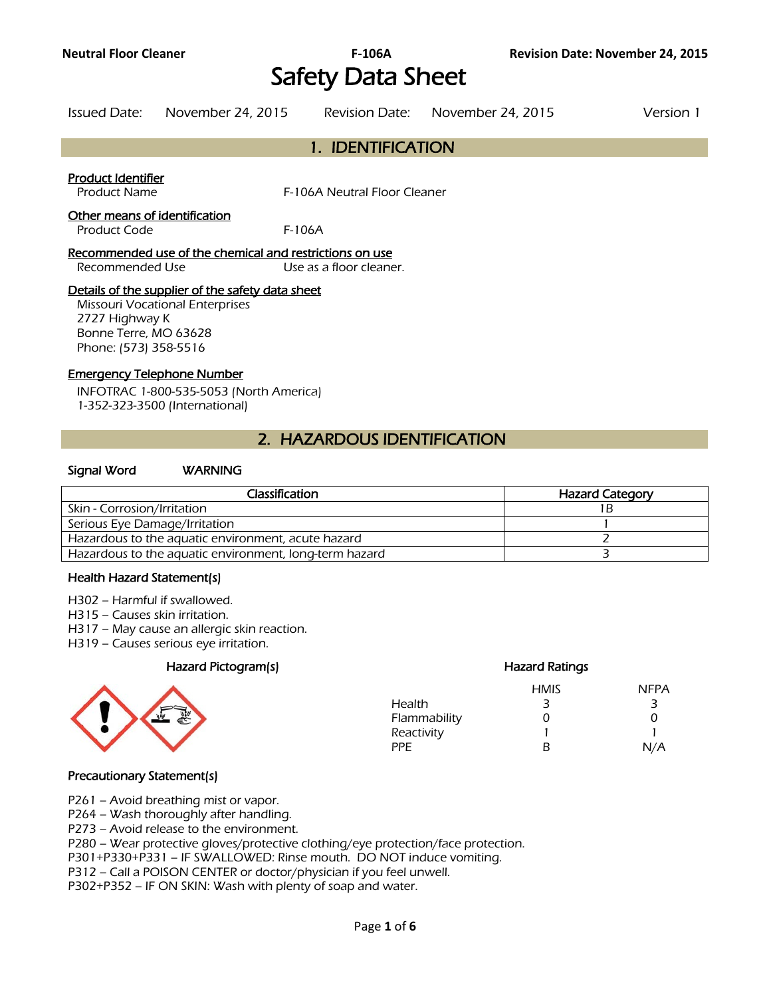# Safety Data Sheet

| Issued Date: | November 24, 2015 | Revision Date: November 24, 2015 | Version 1 |
|--------------|-------------------|----------------------------------|-----------|
|              |                   |                                  |           |

# 1. IDENTIFICATION

#### Product Identifier

Product Name The Secret Secret Secret F-106A Neutral Floor Cleaner

#### Other means of identification

Product Code F-106A

Recommended use of the chemical and restrictions on use Recommended Use Use Use as a floor cleaner.

#### Details of the supplier of the safety data sheet

Missouri Vocational Enterprises 2727 Highway K Bonne Terre, MO 63628 Phone: (573) 358-5516

#### Emergency Telephone Number

INFOTRAC 1-800-535-5053 (North America) 1-352-323-3500 (International)

# 2. HAZARDOUS IDENTIFICATION

#### Signal Word WARNING

| Classification                                         | <b>Hazard Category</b> |
|--------------------------------------------------------|------------------------|
| Skin - Corrosion/Irritation                            |                        |
| Serious Eye Damage/Irritation                          |                        |
| Hazardous to the aquatic environment, acute hazard     |                        |
| Hazardous to the aquatic environment, long-term hazard |                        |
|                                                        |                        |

#### Health Hazard Statement(s)

- H302 Harmful if swallowed.
- H315 Causes skin irritation.
- H317 May cause an allergic skin reaction.
- H319 Causes serious eye irritation.

#### Hazard Pictogram(s) Hazard Ratings



# HMIS NFPA Health 3 3 3 Flammability 0 0 0 0 Reactivity 1 1 PPE B N/A

#### Precautionary Statement(s)

P261 – Avoid breathing mist or vapor.

P264 – Wash thoroughly after handling.

P273 – Avoid release to the environment.

P280 – Wear protective gloves/protective clothing/eye protection/face protection.

P301+P330+P331 – IF SWALLOWED: Rinse mouth. DO NOT induce vomiting.

P312 – Call a POISON CENTER or doctor/physician if you feel unwell.

P302+P352 – IF ON SKIN: Wash with plenty of soap and water.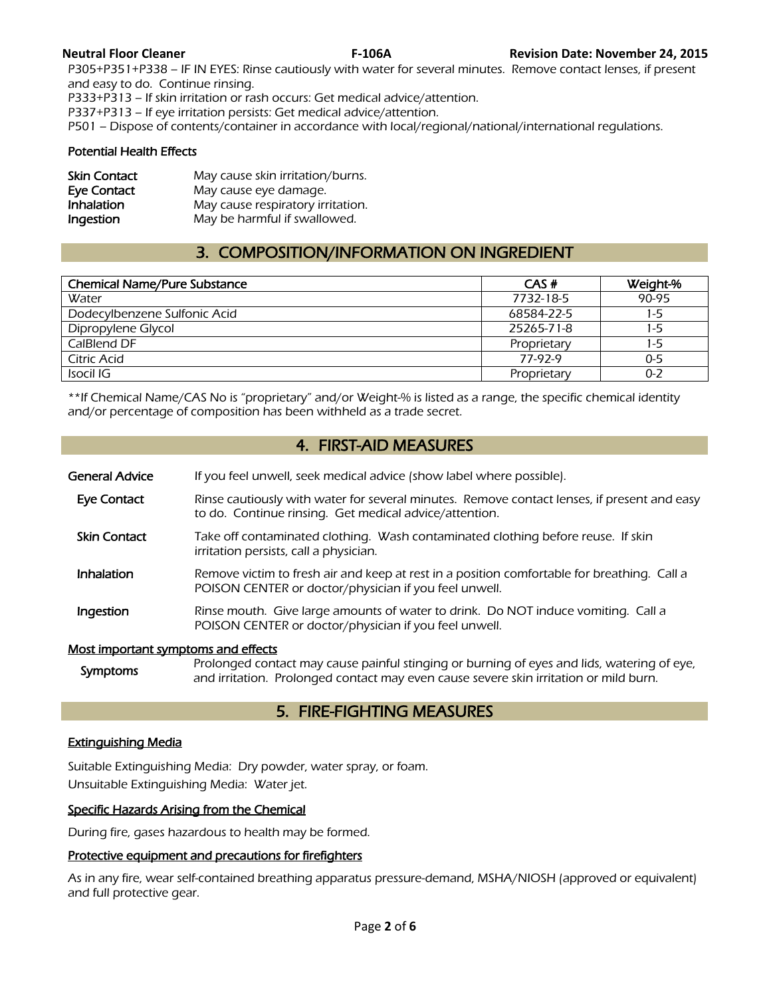P305+P351+P338 – IF IN EYES: Rinse cautiously with water for several minutes. Remove contact lenses, if present and easy to do. Continue rinsing.

P333+P313 – If skin irritation or rash occurs: Get medical advice/attention.

P337+P313 – If eye irritation persists: Get medical advice/attention.

P501 – Dispose of contents/container in accordance with local/regional/national/international regulations.

#### Potential Health Effects

| <b>Skin Contact</b> | May cause skin irritation/burns.  |
|---------------------|-----------------------------------|
| Eye Contact         | May cause eye damage.             |
| <b>Inhalation</b>   | May cause respiratory irritation. |
| Ingestion           | May be harmful if swallowed.      |

# 3. COMPOSITION/INFORMATION ON INGREDIENT

| <b>Chemical Name/Pure Substance</b> | CAS#        | Weight-% |
|-------------------------------------|-------------|----------|
| Water                               | 7732-18-5   | 90-95    |
| Dodecylbenzene Sulfonic Acid        | 68584-22-5  | 1-5      |
| Dipropylene Glycol                  | 25265-71-8  | 1-5      |
| CalBlend DF                         | Proprietary | 1-5      |
| Citric Acid                         | 77-97-9     | $0 - 5$  |
| Isocil IG                           | Proprietary | $0 - 2$  |
|                                     |             |          |

\*\*If Chemical Name/CAS No is "proprietary" and/or Weight-% is listed as a range, the specific chemical identity and/or percentage of composition has been withheld as a trade secret.

# 4. FIRST-AID MEASURES

- General Advice If you feel unwell, seek medical advice (show label where possible).
- Eye Contact Rinse cautiously with water for several minutes. Remove contact lenses, if present and easy to do. Continue rinsing. Get medical advice/attention.
- Skin Contact Take off contaminated clothing. Wash contaminated clothing before reuse. If skin irritation persists, call a physician.
- Inhalation Remove victim to fresh air and keep at rest in a position comfortable for breathing. Call a POISON CENTER or doctor/physician if you feel unwell.
- **Ingestion** Rinse mouth. Give large amounts of water to drink. Do NOT induce vomiting. Call a POISON CENTER or doctor/physician if you feel unwell.

#### Most important symptoms and effects

Symptoms Prolonged contact may cause painful stinging or burning of eyes and lids, watering of eye,<br>Symptoms and initation. Prolonged contact may such sause severe skip initation or mild burn and irritation. Prolonged contact may even cause severe skin irritation or mild burn.

# 5. FIRE-FIGHTING MEASURES

#### Extinguishing Media

Suitable Extinguishing Media: Dry powder, water spray, or foam. Unsuitable Extinguishing Media: Water jet.

#### Specific Hazards Arising from the Chemical

During fire, gases hazardous to health may be formed.

#### Protective equipment and precautions for firefighters

As in any fire, wear self-contained breathing apparatus pressure-demand, MSHA/NIOSH (approved or equivalent) and full protective gear.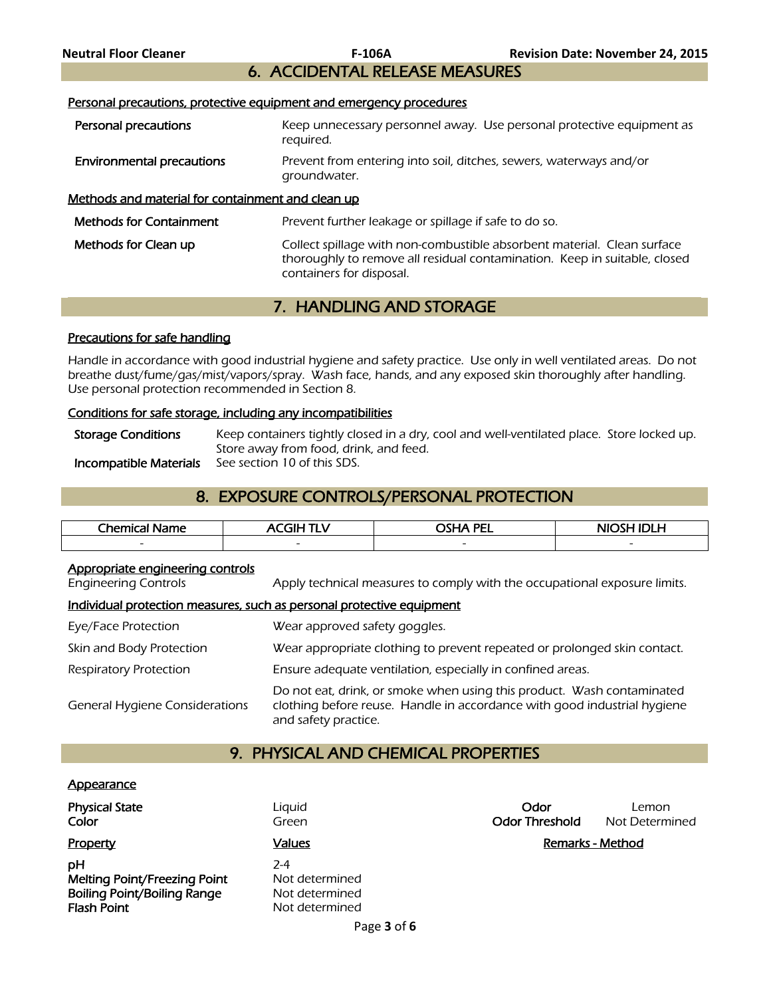# 6. ACCIDENTAL RELEASE MEASURES

#### Personal precautions, protective equipment and emergency procedures

| Personal precautions                              | Keep unnecessary personnel away. Use personal protective equipment as<br>reguired.                                                                                               |
|---------------------------------------------------|----------------------------------------------------------------------------------------------------------------------------------------------------------------------------------|
| <b>Environmental precautions</b>                  | Prevent from entering into soil, ditches, sewers, waterways and/or<br>groundwater.                                                                                               |
| Methods and material for containment and clean up |                                                                                                                                                                                  |
| <b>Methods for Containment</b>                    | Prevent further leakage or spillage if safe to do so.                                                                                                                            |
| Methods for Clean up                              | Collect spillage with non-combustible absorbent material. Clean surface<br>thoroughly to remove all residual contamination. Keep in suitable, closed<br>containers for disposal. |

# 7. HANDLING AND STORAGE

#### Precautions for safe handling

Handle in accordance with good industrial hygiene and safety practice. Use only in well ventilated areas. Do not breathe dust/fume/gas/mist/vapors/spray. Wash face, hands, and any exposed skin thoroughly after handling. Use personal protection recommended in Section 8.

#### Conditions for safe storage, including any incompatibilities

Storage Conditions Keep containers tightly closed in a dry, cool and well-ventilated place. Store locked up. Store away from food, drink, and feed. Incompatible Materials See section 10 of this SDS.

# 8. EXPOSURE CONTROLS/PERSONAL PROTECTION

| <b>Chemica</b><br>Name   | ---<br>- 11              | <b>NOTA PEL</b>          | <b>NIOCH</b><br>. |
|--------------------------|--------------------------|--------------------------|-------------------|
| $\overline{\phantom{0}}$ | $\overline{\phantom{0}}$ | $\overline{\phantom{0}}$ |                   |
|                          |                          |                          |                   |

#### Appropriate engineering controls

Engineering Controls Apply technical measures to comply with the occupational exposure limits.

#### Individual protection measures, such as personal protective equipment

| Eye/Face Protection                   | Wear approved safety goggles.                                                                                                                                              |
|---------------------------------------|----------------------------------------------------------------------------------------------------------------------------------------------------------------------------|
| Skin and Body Protection              | Wear appropriate clothing to prevent repeated or prolonged skin contact.                                                                                                   |
| Respiratory Protection                | Ensure adequate ventilation, especially in confined areas.                                                                                                                 |
| <b>General Hygiene Considerations</b> | Do not eat, drink, or smoke when using this product. Wash contaminated<br>clothing before reuse. Handle in accordance with good industrial hygiene<br>and safety practice. |

# 9. PHYSICAL AND CHEMICAL PROPERTIES

#### **Appearance**

| <b>Physical State</b><br>Color                                                                        | Liguid<br>Green                                             | Odor<br><b>Odor Threshold</b> | Lemon<br>Not Determined |
|-------------------------------------------------------------------------------------------------------|-------------------------------------------------------------|-------------------------------|-------------------------|
| Property                                                                                              | <u>Values</u>                                               |                               | <b>Remarks - Method</b> |
| pН<br><b>Melting Point/Freezing Point</b><br><b>Boiling Point/Boiling Range</b><br><b>Flash Point</b> | $2-4$<br>Not determined<br>Not determined<br>Not determined |                               |                         |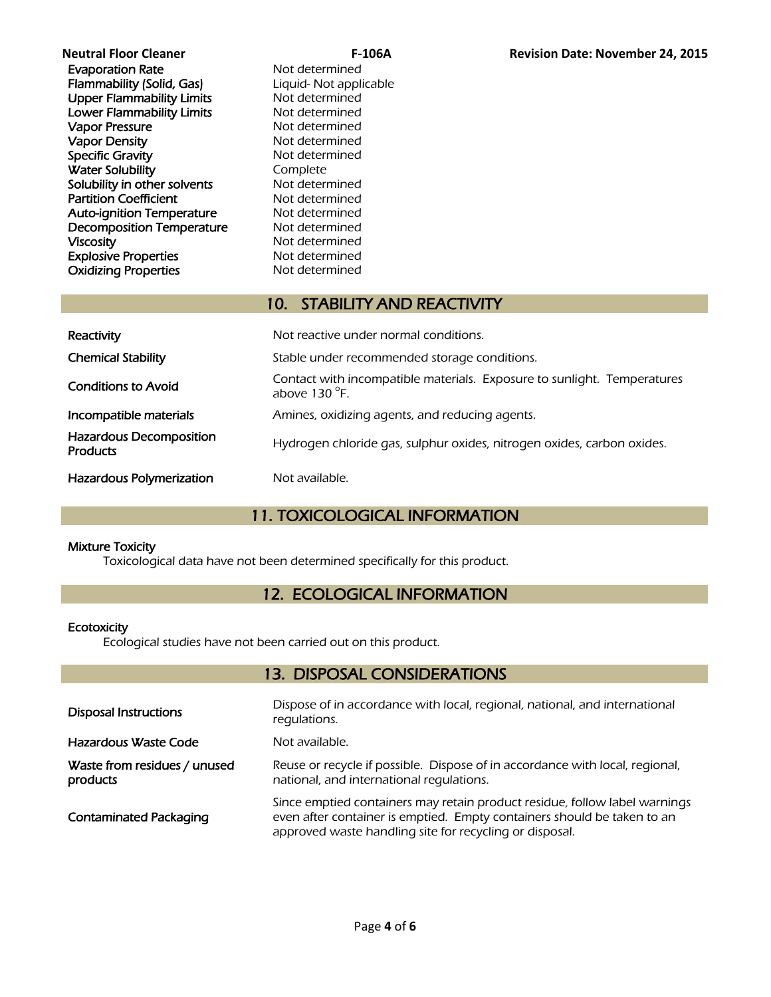| <b>Neutral Floor Cleaner</b>     |     |
|----------------------------------|-----|
| <b>Evaporation Rate</b>          | N۱  |
| Flammability (Solid, Gas)        | Lio |
| <b>Upper Flammability Limits</b> | N۰  |
| <b>Lower Flammability Limits</b> | N۱  |
| <b>Vapor Pressure</b>            | N۰  |
| <b>Vapor Density</b>             | N۱  |
| <b>Specific Gravity</b>          | N۰  |
| <b>Water Solubility</b>          | C٥  |
| Solubility in other solvents     | N۱  |
| <b>Partition Coefficient</b>     | N۱  |
| <b>Auto-ignition Temperature</b> | N۱  |
| <b>Decomposition Temperature</b> | N۱  |
| <b>Viscosity</b>                 | N۱  |
| <b>Explosive Properties</b>      | N۰  |
| <b>Oxidizing Properties</b>      | N۱  |
|                                  |     |

ot determined quid- Not applicable ot determined ot determined ot determined ot determined ot determined omplete ot determined ot determined ot determined ot determined ot determined ot determined ot determined

# 10. STABILITY AND REACTIVITY

| Reactivity                                        | Not reactive under normal conditions.                                                             |  |
|---------------------------------------------------|---------------------------------------------------------------------------------------------------|--|
| <b>Chemical Stability</b>                         | Stable under recommended storage conditions.                                                      |  |
| <b>Conditions to Avoid</b>                        | Contact with incompatible materials. Exposure to sunlight. Temperatures<br>above $130^{\circ}$ F. |  |
| Incompatible materials                            | Amines, oxidizing agents, and reducing agents.                                                    |  |
| <b>Hazardous Decomposition</b><br><b>Products</b> | Hydrogen chloride gas, sulphur oxides, nitrogen oxides, carbon oxides.                            |  |
| <b>Hazardous Polymerization</b>                   | Not available.                                                                                    |  |

# 11. TOXICOLOGICAL INFORMATION

### Mixture Toxicity

Toxicological data have not been determined specifically for this product.

# 12. ECOLOGICAL INFORMATION

#### **Ecotoxicity**

Ecological studies have not been carried out on this product.

# 13. DISPOSAL CONSIDERATIONS

| <b>Disposal Instructions</b>             | Dispose of in accordance with local, regional, national, and international<br>regulations.                                                                                                                       |
|------------------------------------------|------------------------------------------------------------------------------------------------------------------------------------------------------------------------------------------------------------------|
| Hazardous Waste Code                     | Not available.                                                                                                                                                                                                   |
| Waste from residues / unused<br>products | Reuse or recycle if possible. Dispose of in accordance with local, regional,<br>national, and international requlations.                                                                                         |
| <b>Contaminated Packaging</b>            | Since emptied containers may retain product residue, follow label warnings<br>even after container is emptied. Empty containers should be taken to an<br>approved waste handling site for recycling or disposal. |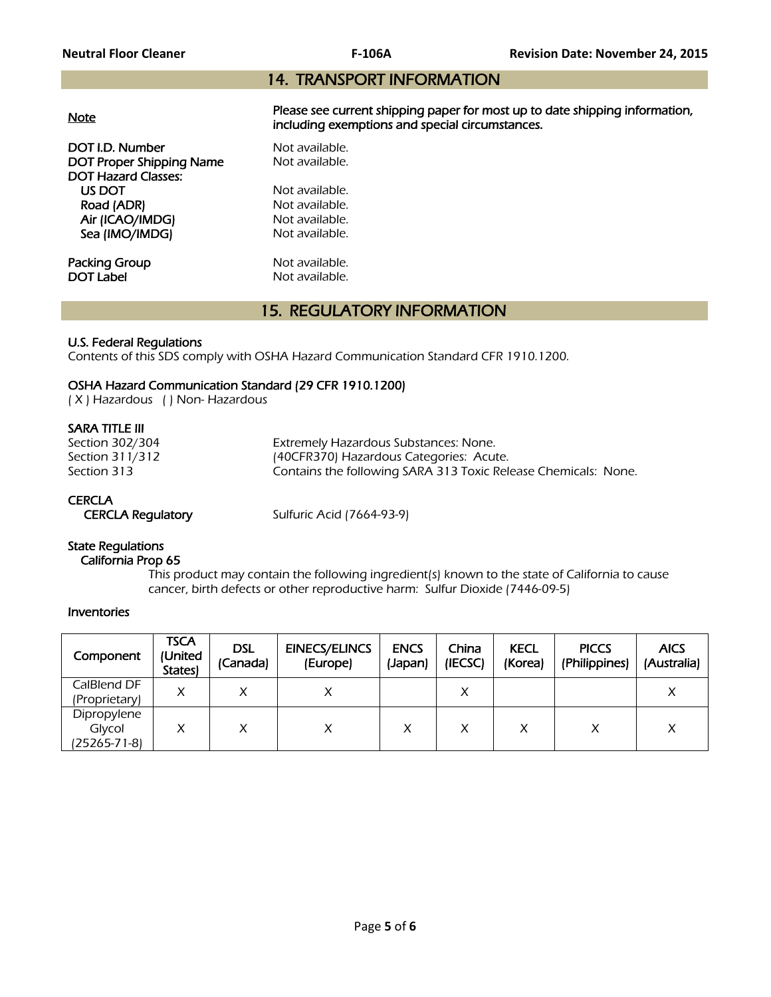# 14. TRANSPORT INFORMATION

|--|

Please see current shipping paper for most up to date shipping information, including exemptions and special circumstances.

**DOT I.D. Number Not available.**<br> **DOT Proper Shipping Name** Not available. DOT Proper Shipping Name DOT Hazard Classes: US DOT Not available.<br>
Road (ADR) Not available. Road (ADR) Air (ICAO/IMDG) Not available. Sea (IMO/IMDG) Not available.

**Packing Group Not available.**<br> **DOT Label Not available.** 

Not available.

# 15. REGULATORY INFORMATION

#### U.S. Federal Regulations

Contents of this SDS comply with OSHA Hazard Communication Standard CFR 1910.1200.

#### OSHA Hazard Communication Standard (29 CFR 1910.1200)

( X ) Hazardous ( ) Non- Hazardous

#### SARA TITLE III

| Section 302/304 | Extremely Hazardous Substances: None.                          |
|-----------------|----------------------------------------------------------------|
| Section 311/312 | (40CFR370) Hazardous Categories: Acute.                        |
| Section 313     | Contains the following SARA 313 Toxic Release Chemicals: None. |

# **CERCLA**

CERCLA Regulatory Sulfuric Acid (7664-93-9)

# State Regulations

#### California Prop 65

 This product may contain the following ingredient(s) known to the state of California to cause cancer, birth defects or other reproductive harm: Sulfur Dioxide (7446-09-5)

#### Inventories

| Component                             | <b>TSCA</b><br>(United<br>States) | <b>DSL</b><br>(Canada) | <b>EINECS/ELINCS</b><br>(Europe) | <b>ENCS</b><br>(Japan) | China<br>(IECSC) | <b>KECL</b><br>(Korea) | <b>PICCS</b><br>(Philippines) | <b>AICS</b><br>(Australia) |
|---------------------------------------|-----------------------------------|------------------------|----------------------------------|------------------------|------------------|------------------------|-------------------------------|----------------------------|
| CalBlend DF<br>(Proprietary)          | X                                 |                        |                                  |                        | Χ                |                        |                               |                            |
| Dipropylene<br>Glycol<br>(25265-71-8) |                                   |                        | ↗                                |                        | Χ                |                        |                               | Х                          |